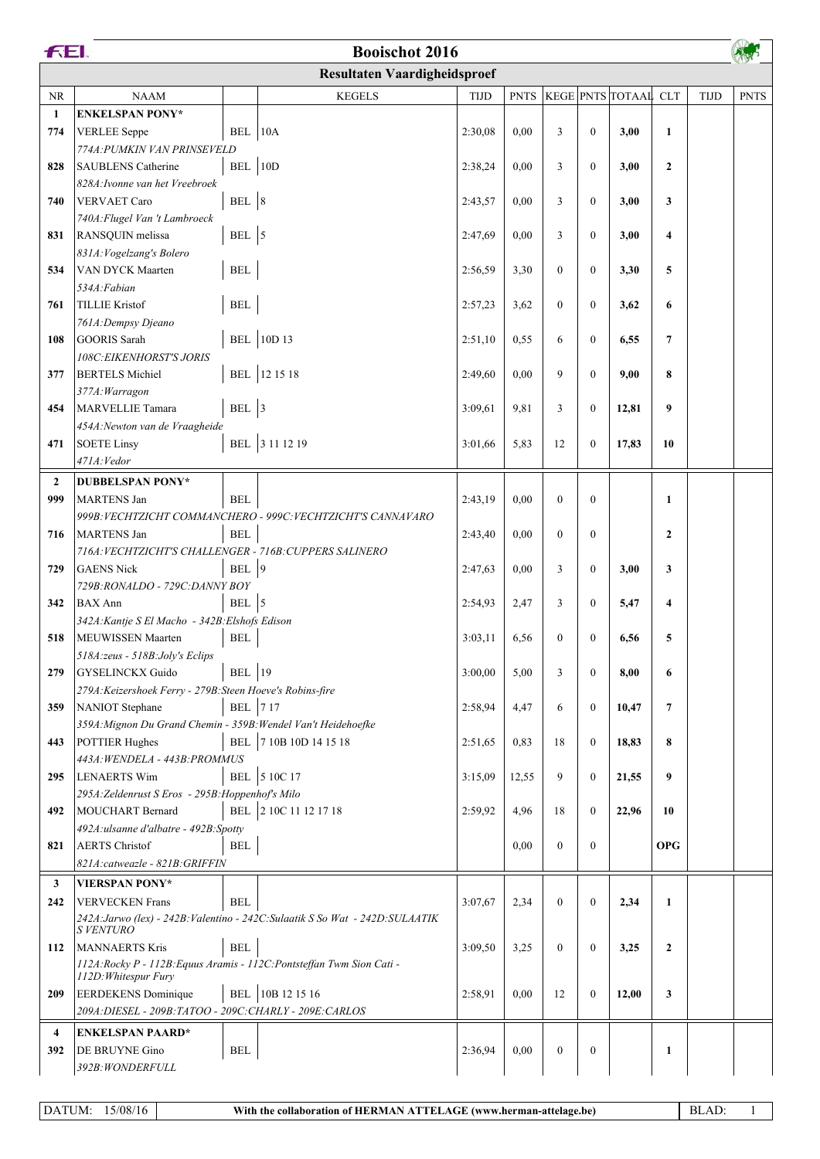|                | FEI.<br><b>Booischot 2016</b>                                                                  |                      |                                                                                |             |             |              |              |                      |                         |             |             |  |
|----------------|------------------------------------------------------------------------------------------------|----------------------|--------------------------------------------------------------------------------|-------------|-------------|--------------|--------------|----------------------|-------------------------|-------------|-------------|--|
|                | <b>Resultaten Vaardigheidsproef</b>                                                            |                      |                                                                                |             |             |              |              |                      |                         |             |             |  |
| NR             | <b>NAAM</b>                                                                                    |                      | <b>KEGELS</b>                                                                  | <b>TIJD</b> | <b>PNTS</b> |              |              | KEGE PNTS TOTAAL CLT |                         | <b>TIJD</b> | <b>PNTS</b> |  |
| $\mathbf{1}$   | <b>ENKELSPAN PONY*</b>                                                                         |                      |                                                                                |             |             |              |              |                      |                         |             |             |  |
| 774            | <b>VERLEE</b> Seppe                                                                            | $BEL$   10A          |                                                                                | 2:30,08     | 0.00        | 3            | $\mathbf{0}$ | 3,00                 | $\mathbf{1}$            |             |             |  |
|                | 774A: PUMKIN VAN PRINSEVELD                                                                    |                      |                                                                                |             |             |              |              |                      |                         |             |             |  |
| 828            | <b>SAUBLENS</b> Catherine                                                                      | BEL $ 10D$           |                                                                                | 2:38,24     | 0.00        | 3            | $\mathbf{0}$ | 3,00                 | $\mathbf{2}$            |             |             |  |
|                | 828A: Ivonne van het Vreebroek                                                                 |                      |                                                                                |             |             |              |              |                      |                         |             |             |  |
| 740            | <b>VERVAET Caro</b>                                                                            | BEL $ 8$             |                                                                                | 2:43,57     | 0.00        | 3            | $\mathbf{0}$ | 3,00                 | 3                       |             |             |  |
| 831            | 740A: Flugel Van 't Lambroeck<br>RANSQUIN melissa                                              | BEL $\vert$ 5        |                                                                                | 2:47,69     | 0.00        | 3            | $\mathbf{0}$ | 3,00                 | $\overline{\mathbf{4}}$ |             |             |  |
|                | 831A: Vogelzang's Bolero                                                                       |                      |                                                                                |             |             |              |              |                      |                         |             |             |  |
| 534            | <b>VAN DYCK Maarten</b>                                                                        | $\operatorname{BEL}$ |                                                                                | 2:56,59     | 3,30        | $\mathbf{0}$ | $\mathbf{0}$ | 3,30                 | 5                       |             |             |  |
|                | 534A: Fabian                                                                                   |                      |                                                                                |             |             |              |              |                      |                         |             |             |  |
| 761            | <b>TILLIE Kristof</b>                                                                          | $\operatorname{BEL}$ |                                                                                | 2:57,23     | 3,62        | $\theta$     | $\mathbf{0}$ | 3,62                 | 6                       |             |             |  |
|                | 761A: Dempsy Djeano                                                                            |                      |                                                                                |             |             |              |              |                      |                         |             |             |  |
| 108            | GOORIS Sarah                                                                                   |                      | <b>BEL</b> 10D 13                                                              | 2:51,10     | 0,55        | 6            | $\mathbf{0}$ | 6,55                 | $\overline{7}$          |             |             |  |
|                | 108C: EIKENHORST'S JORIS                                                                       |                      |                                                                                |             |             |              |              |                      |                         |             |             |  |
| 377            | <b>BERTELS Michiel</b>                                                                         |                      | BEL 12 15 18                                                                   | 2:49,60     | 0.00        | 9            | $\mathbf{0}$ | 9,00                 | 8                       |             |             |  |
|                | 377A: Warragon                                                                                 |                      |                                                                                |             |             |              |              |                      |                         |             |             |  |
| 454            | MARVELLIE Tamara                                                                               | BEL $ 3$             |                                                                                | 3:09,61     | 9,81        | 3            | $\mathbf{0}$ | 12,81                | 9                       |             |             |  |
|                | 454A: Newton van de Vraagheide                                                                 |                      | BEL 3 11 12 19                                                                 |             |             |              |              |                      | 10                      |             |             |  |
| 471            | <b>SOETE Linsy</b><br>471A: Vedor                                                              |                      |                                                                                | 3:01,66     | 5,83        | 12           | $\mathbf{0}$ | 17,83                |                         |             |             |  |
| $\overline{2}$ | <b>DUBBELSPAN PONY*</b>                                                                        |                      |                                                                                |             |             |              |              |                      |                         |             |             |  |
| 999            | <b>MARTENS Jan</b>                                                                             | <b>BEL</b>           |                                                                                | 2:43,19     | 0.00        | $\mathbf{0}$ | $\mathbf{0}$ |                      | $\mathbf{1}$            |             |             |  |
|                |                                                                                                |                      | 999B: VECHTZICHT COMMANCHERO - 999C: VECHTZICHT'S CANNAVARO                    |             |             |              |              |                      |                         |             |             |  |
| 716            | MARTENS Jan                                                                                    | <b>BEL</b>           |                                                                                | 2:43,40     | 0.00        | $\theta$     | $\mathbf{0}$ |                      | $\mathbf{2}$            |             |             |  |
|                | 716A: VECHTZICHT'S CHALLENGER - 716B: CUPPERS SALINERO                                         |                      |                                                                                |             |             |              |              |                      |                         |             |             |  |
| 729            | <b>GAENS Nick</b>                                                                              | BEL $ 9$             |                                                                                | 2:47,63     | 0,00        | 3            | $\mathbf{0}$ | 3,00                 | 3                       |             |             |  |
|                | 729B:RONALDO - 729C:DANNY BOY                                                                  |                      |                                                                                |             |             |              |              |                      |                         |             |             |  |
| 342            | <b>BAX</b> Ann                                                                                 | BEL 5                |                                                                                | 2:54,93     | 2,47        | 3            | $\mathbf{0}$ | 5,47                 | $\overline{\mathbf{4}}$ |             |             |  |
|                | 342A: Kantje S El Macho - 342B: Elshofs Edison                                                 |                      |                                                                                |             |             |              |              |                      |                         |             |             |  |
| 518            | MEUWISSEN Maarten                                                                              | <b>BEL</b>           |                                                                                | 3:03,11     | 6,56        | $\mathbf{0}$ | $\mathbf{0}$ | 6,56                 | 5                       |             |             |  |
| 279            | 518A:zeus - 518B:Joly's Eclips<br><b>GYSELINCKX Guido</b>                                      | <b>BEL</b> 19        |                                                                                | 3:00.00     | 5,00        | 3            | $\mathbf{0}$ | 8,00                 | 6                       |             |             |  |
|                | 279A: Keizershoek Ferry - 279B: Steen Hoeve's Robins-fire                                      |                      |                                                                                |             |             |              |              |                      |                         |             |             |  |
| 359            | NANIOT Stephane                                                                                | BEL 717              |                                                                                | 2:58,94     | 4,47        | 6            | $\theta$     | 10,47                | $\overline{7}$          |             |             |  |
|                | 359A: Mignon Du Grand Chemin - 359B: Wendel Van't Heidehoefke                                  |                      |                                                                                |             |             |              |              |                      |                         |             |             |  |
| 443            | <b>POTTIER Hughes</b>                                                                          |                      | BEL 7 10B 10D 14 15 18                                                         | 2:51,65     | 0,83        | 18           | $\mathbf{0}$ | 18,83                | 8                       |             |             |  |
|                | 443A: WENDELA - 443B: PROMMUS                                                                  |                      |                                                                                |             |             |              |              |                      |                         |             |             |  |
| 295            | LENAERTS Wim                                                                                   |                      | BEL 5 10C 17                                                                   | 3:15,09     | 12,55       | 9            | $\mathbf{0}$ | 21,55                | 9                       |             |             |  |
|                | 295A: Zeldenrust S Eros - 295B: Hoppenhof's Milo                                               |                      |                                                                                |             |             |              |              |                      |                         |             |             |  |
| 492            | MOUCHART Bernard                                                                               |                      | BEL 2 10C 11 12 17 18                                                          | 2:59,92     | 4,96        | 18           | $\mathbf{0}$ | 22,96                | 10                      |             |             |  |
|                | 492A:ulsanne d'albatre - 492B:Spotty                                                           |                      |                                                                                |             |             |              |              |                      |                         |             |             |  |
| 821            | <b>AERTS</b> Christof<br>821A:catweazle - 821B:GRIFFIN                                         | <b>BEL</b>           |                                                                                |             | 0.00        | $\theta$     | $\mathbf{0}$ |                      | <b>OPG</b>              |             |             |  |
|                |                                                                                                |                      |                                                                                |             |             |              |              |                      |                         |             |             |  |
| 3              | <b>VIERSPAN PONY*</b>                                                                          | <b>BEL</b>           |                                                                                |             |             |              |              |                      |                         |             |             |  |
| 242            | <b>VERVECKEN Frans</b>                                                                         |                      | 242A: Jarwo (lex) - 242B: Valentino - 242C: Sulaatik S So Wat - 242D: SULAATIK | 3:07,67     | 2,34        | $\mathbf{0}$ | $\mathbf{0}$ | 2,34                 | $\mathbf{1}$            |             |             |  |
|                | <b>SVENTURO</b>                                                                                |                      |                                                                                |             |             |              |              |                      |                         |             |             |  |
| 112            | <b>MANNAERTS Kris</b>                                                                          | <b>BEL</b>           |                                                                                | 3:09,50     | 3,25        | $\theta$     | $\mathbf{0}$ | 3,25                 | $\mathbf{2}$            |             |             |  |
|                | 112A: Rocky P - 112B: Equus Aramis - 112C: Pontsteffan Twm Sion Cati -<br>112D: Whitespur Fury |                      |                                                                                |             |             |              |              |                      |                         |             |             |  |
| 209            | <b>EERDEKENS</b> Dominique                                                                     |                      | BEL 10B 12 15 16                                                               | 2:58,91     | 0.00        | 12           | $\mathbf{0}$ | 12,00                | 3                       |             |             |  |
|                | 209A: DIESEL - 209B: TATOO - 209C: CHARLY - 209E: CARLOS                                       |                      |                                                                                |             |             |              |              |                      |                         |             |             |  |
| 4              | <b>ENKELSPAN PAARD*</b>                                                                        |                      |                                                                                |             |             |              |              |                      |                         |             |             |  |
| 392            | <b>DE BRUYNE Gino</b>                                                                          | $\operatorname{BEL}$ |                                                                                | 2:36,94     | 0.00        | $\mathbf{0}$ | $\mathbf{0}$ |                      | 1                       |             |             |  |
|                | 392B: WONDERFULL                                                                               |                      |                                                                                |             |             |              |              |                      |                         |             |             |  |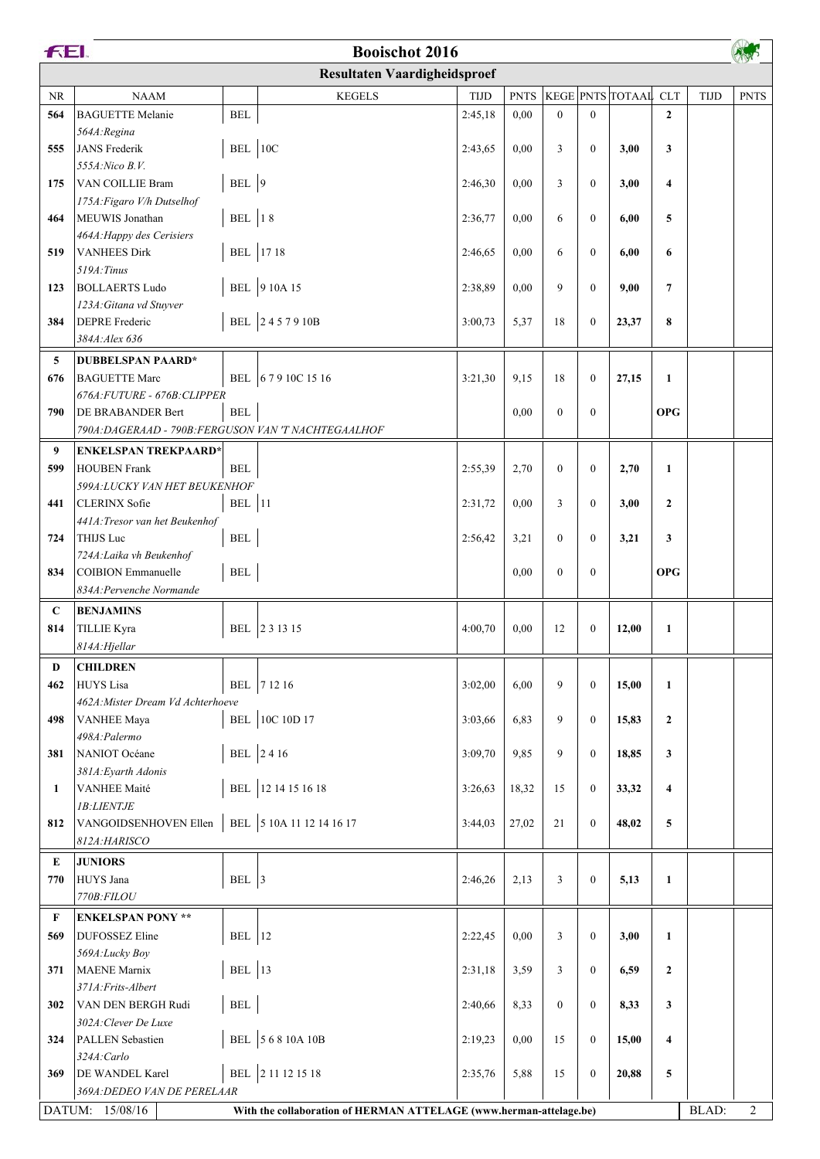|                                     | FEI.<br><b>Booischot 2016</b>                        |                      |                                                                    |             |             |                |                  |                  |                         |             |             |
|-------------------------------------|------------------------------------------------------|----------------------|--------------------------------------------------------------------|-------------|-------------|----------------|------------------|------------------|-------------------------|-------------|-------------|
| <b>Resultaten Vaardigheidsproef</b> |                                                      |                      |                                                                    |             |             |                |                  |                  |                         |             |             |
| NR                                  | <b>NAAM</b>                                          |                      | <b>KEGELS</b>                                                      | <b>TIJD</b> | <b>PNTS</b> |                |                  | KEGE PNTS TOTAAL | <b>CLT</b>              | <b>TIJD</b> | <b>PNTS</b> |
| 564                                 | <b>BAGUETTE Melanie</b>                              | $\operatorname{BEL}$ |                                                                    | 2:45,18     | 0,00        | $\overline{0}$ | $\mathbf{0}$     |                  | $\overline{2}$          |             |             |
|                                     | 564A: Regina                                         |                      |                                                                    |             |             |                |                  |                  |                         |             |             |
| 555                                 | JANS Frederik                                        | BEL 10C              |                                                                    | 2:43,65     | 0,00        | 3              | $\mathbf{0}$     | 3,00             | 3                       |             |             |
|                                     | 555A: Nico B.V.                                      |                      |                                                                    |             |             |                |                  |                  |                         |             |             |
| 175                                 | VAN COILLIE Bram                                     | BEL 9                |                                                                    | 2:46,30     | 0.00        | 3              | $\mathbf{0}$     | 3,00             | $\overline{\mathbf{4}}$ |             |             |
|                                     | 175A: Figaro V/h Dutselhof                           |                      |                                                                    |             |             |                |                  |                  |                         |             |             |
| 464                                 | MEUWIS Jonathan<br>464A: Happy des Cerisiers         | <b>BEL</b> 18        |                                                                    | 2:36,77     | 0,00        | 6              | $\mathbf{0}$     | 6,00             | 5                       |             |             |
| 519                                 | <b>VANHEES Dirk</b>                                  |                      | BEL 17 18                                                          | 2:46,65     | 0.00        | 6              | $\mathbf{0}$     | 6,00             | 6                       |             |             |
|                                     | 519A: Tinus                                          |                      |                                                                    |             |             |                |                  |                  |                         |             |             |
| 123                                 | <b>BOLLAERTS Ludo</b>                                |                      | BEL 9 10A 15                                                       | 2:38,89     | 0.00        | 9              | $\mathbf{0}$     | 9,00             | $\overline{7}$          |             |             |
|                                     | 123A: Gitana vd Stuyver                              |                      |                                                                    |             |             |                |                  |                  |                         |             |             |
| 384                                 | <b>DEPRE</b> Frederic                                |                      | BEL 2457910B                                                       | 3:00,73     | 5,37        | 18             | $\boldsymbol{0}$ | 23,37            | 8                       |             |             |
|                                     | 384A: Alex 636                                       |                      |                                                                    |             |             |                |                  |                  |                         |             |             |
| 5                                   | <b>DUBBELSPAN PAARD*</b>                             |                      |                                                                    |             |             |                |                  |                  |                         |             |             |
| 676                                 | <b>BAGUETTE Marc</b>                                 |                      | BEL 67910C1516                                                     | 3:21,30     | 9,15        | 18             | $\mathbf{0}$     | 27,15            | $\mathbf{1}$            |             |             |
|                                     | 676A: FUTURE - 676B: CLIPPER                         |                      |                                                                    |             |             |                |                  |                  |                         |             |             |
| 790                                 | DE BRABANDER Bert                                    | $\operatorname{BEL}$ |                                                                    |             | 0,00        | $\overline{0}$ | $\mathbf{0}$     |                  | <b>OPG</b>              |             |             |
|                                     | 790A: DAGERAAD - 790B: FERGUSON VAN 'T NACHTEGAALHOF |                      |                                                                    |             |             |                |                  |                  |                         |             |             |
| 9                                   | <b>ENKELSPAN TREKPAARD*</b>                          |                      |                                                                    |             |             |                |                  |                  |                         |             |             |
| 599                                 | <b>HOUBEN</b> Frank                                  | <b>BEL</b>           |                                                                    | 2:55,39     | 2,70        | $\overline{0}$ | $\mathbf{0}$     | 2,70             | $\mathbf{1}$            |             |             |
|                                     | 599A: LUCKY VAN HET BEUKENHOF                        |                      |                                                                    |             |             |                |                  |                  |                         |             |             |
| 441                                 | <b>CLERINX</b> Sofie                                 | <b>BEL</b> 11        |                                                                    | 2:31,72     | 0,00        | 3              | $\mathbf{0}$     | 3,00             | $\mathbf{2}$            |             |             |
|                                     | 441A: Tresor van het Beukenhof                       |                      |                                                                    |             |             |                |                  |                  |                         |             |             |
| 724                                 | <b>THIJS Luc</b>                                     | $\operatorname{BEL}$ |                                                                    | 2:56,42     | 3,21        | $\overline{0}$ | $\mathbf{0}$     | 3,21             | 3                       |             |             |
|                                     | 724A: Laika vh Beukenhof                             |                      |                                                                    |             |             |                |                  |                  |                         |             |             |
| 834                                 | COIBION Emmanuelle                                   | $\operatorname{BEL}$ |                                                                    |             | 0,00        | $\theta$       | $\mathbf{0}$     |                  | <b>OPG</b>              |             |             |
|                                     | 834A: Pervenche Normande                             |                      |                                                                    |             |             |                |                  |                  |                         |             |             |
| $\mathbf C$                         | <b>BENJAMINS</b>                                     |                      |                                                                    |             |             |                |                  |                  |                         |             |             |
| 814                                 | <b>TILLIE Kyra</b>                                   |                      | BEL 23 13 15                                                       | 4:00,70     | 0.00        | 12             | $\boldsymbol{0}$ | 12,00            | 1                       |             |             |
|                                     | 814A: Hjellar                                        |                      |                                                                    |             |             |                |                  |                  |                         |             |             |
| D                                   | <b>CHILDREN</b>                                      |                      |                                                                    |             |             |                |                  |                  |                         |             |             |
| 462                                 | HUYS Lisa                                            |                      | BEL 7 12 16                                                        | 3:02,00     | 6,00        | 9              | $\mathbf{0}$     | 15,00            | $\mathbf{1}$            |             |             |
|                                     | 462A: Mister Dream Vd Achterhoeve                    |                      |                                                                    |             |             |                |                  |                  |                         |             |             |
| 498                                 | <b>VANHEE Maya</b>                                   |                      | BEL 10C 10D 17                                                     | 3:03,66     | 6,83        | 9              | $\mathbf{0}$     | 15,83            | $\mathbf{2}$            |             |             |
|                                     | 498A: Palermo                                        |                      |                                                                    |             |             |                |                  |                  |                         |             |             |
| 381                                 | NANIOT Océane                                        |                      | BEL 2416                                                           | 3:09.70     | 9,85        | 9              | $\mathbf{0}$     | 18,85            | 3                       |             |             |
| 1                                   | 381A: Eyarth Adonis<br><b>VANHEE Maité</b>           |                      | BEL 12 14 15 16 18                                                 | 3:26,63     | 18,32       | 15             | $\boldsymbol{0}$ | 33,32            | $\overline{\mathbf{4}}$ |             |             |
|                                     | 1B:LIENTJE                                           |                      |                                                                    |             |             |                |                  |                  |                         |             |             |
| 812                                 | VANGOIDSENHOVEN Ellen                                |                      | BEL 5 10A 11 12 14 16 17                                           | 3:44,03     | 27,02       | 21             | $\mathbf{0}$     | 48,02            | 5                       |             |             |
|                                     | 812A: HARISCO                                        |                      |                                                                    |             |             |                |                  |                  |                         |             |             |
| $\bf E$                             | <b>JUNIORS</b>                                       |                      |                                                                    |             |             |                |                  |                  |                         |             |             |
| 770                                 | HUYS Jana                                            | BEL 3                |                                                                    | 2:46,26     | 2,13        | 3              | $\mathbf{0}$     | 5,13             | $\mathbf{1}$            |             |             |
|                                     | 770B: FILOU                                          |                      |                                                                    |             |             |                |                  |                  |                         |             |             |
| F                                   | <b>ENKELSPAN PONY **</b>                             |                      |                                                                    |             |             |                |                  |                  |                         |             |             |
| 569                                 | DUFOSSEZ Eline                                       | <b>BEL</b> 12        |                                                                    | 2:22,45     | 0.00        | 3              | $\boldsymbol{0}$ | 3,00             | $\mathbf{1}$            |             |             |
|                                     | 569A:Lucky Boy                                       |                      |                                                                    |             |             |                |                  |                  |                         |             |             |
| 371                                 | <b>MAENE</b> Marnix                                  | <b>BEL</b> 13        |                                                                    | 2:31,18     | 3,59        | 3              | $\boldsymbol{0}$ | 6,59             | $\mathbf{2}$            |             |             |
|                                     | 371A: Frits-Albert                                   |                      |                                                                    |             |             |                |                  |                  |                         |             |             |
| 302                                 | VAN DEN BERGH Rudi                                   | $\operatorname{BEL}$ |                                                                    | 2:40,66     | 8,33        | $\overline{0}$ | $\mathbf{0}$     | 8,33             | 3                       |             |             |
|                                     | 302A: Clever De Luxe                                 |                      |                                                                    |             |             |                |                  |                  |                         |             |             |
| 324                                 | PALLEN Sebastien                                     |                      | BEL 56810A10B                                                      | 2:19,23     | 0,00        | 15             | $\boldsymbol{0}$ | 15,00            | 4                       |             |             |
|                                     | 324A:Carlo                                           |                      |                                                                    |             |             |                |                  |                  |                         |             |             |
| 369                                 | <b>DE WANDEL Karel</b>                               |                      | BEL 2 11 12 15 18                                                  | 2:35,76     | 5,88        | 15             | $\boldsymbol{0}$ | 20,88            | 5                       |             |             |
|                                     | 369A: DEDEO VAN DE PERELAAR                          |                      |                                                                    |             |             |                |                  |                  |                         |             |             |
|                                     | DATUM: 15/08/16                                      |                      | With the collaboration of HERMAN ATTELAGE (www.herman-attelage.be) |             |             |                |                  |                  |                         | BLAD:       | 2           |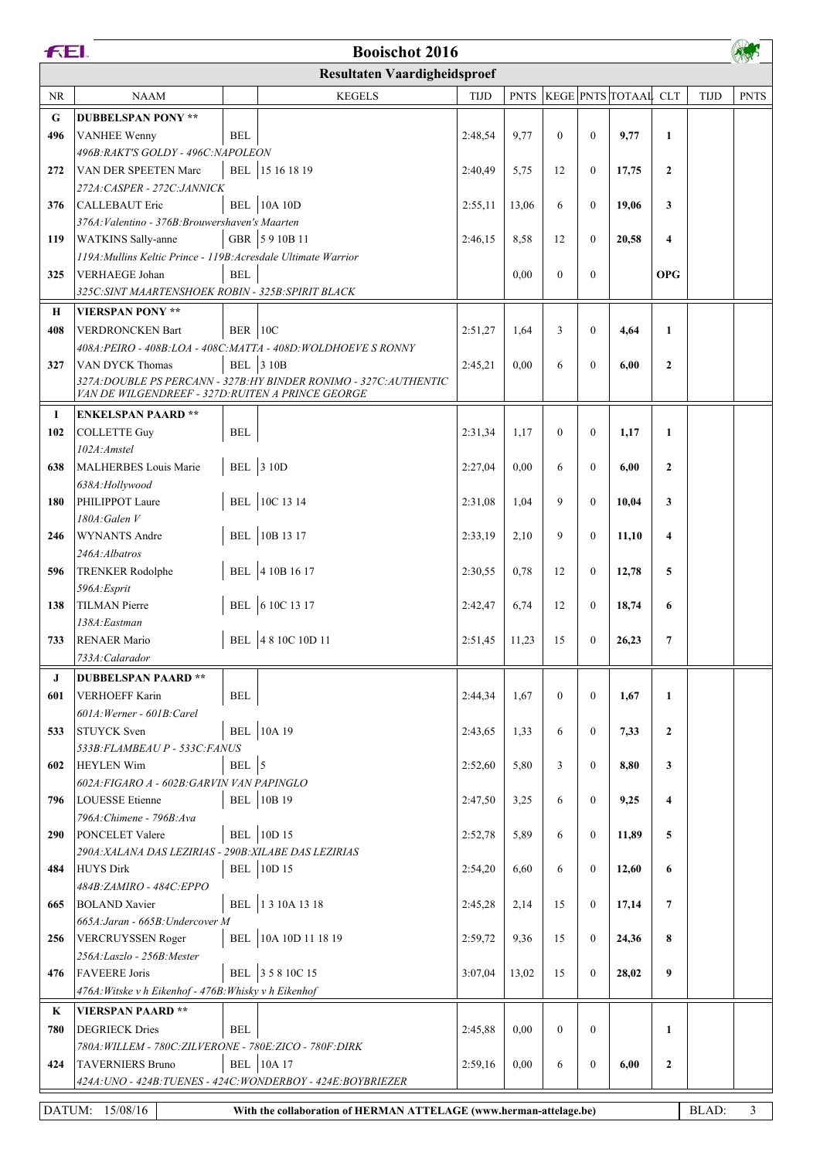|           | FEI.<br><b>Booischot 2016</b>                                                                       |                      |                                                                    |             |             |                  |                  |                      |                  |             |             |  |
|-----------|-----------------------------------------------------------------------------------------------------|----------------------|--------------------------------------------------------------------|-------------|-------------|------------------|------------------|----------------------|------------------|-------------|-------------|--|
|           | <b>Resultaten Vaardigheidsproef</b>                                                                 |                      |                                                                    |             |             |                  |                  |                      |                  |             |             |  |
| <b>NR</b> | <b>NAAM</b>                                                                                         |                      | <b>KEGELS</b>                                                      | <b>TIJD</b> | <b>PNTS</b> |                  |                  | KEGE PNTS TOTAAL CLT |                  | <b>TIJD</b> | <b>PNTS</b> |  |
| G         | <b>DUBBELSPAN PONY **</b>                                                                           |                      |                                                                    |             |             |                  |                  |                      |                  |             |             |  |
| 496       | <b>VANHEE Wenny</b>                                                                                 | <b>BEL</b>           |                                                                    | 2:48,54     | 9,77        | $\Omega$         | $\mathbf{0}$     | 9,77                 | $\mathbf{1}$     |             |             |  |
|           | 496B: RAKT'S GOLDY - 496C: NAPOLEON                                                                 |                      |                                                                    |             |             |                  |                  |                      |                  |             |             |  |
| 272       | VAN DER SPEETEN Marc                                                                                |                      | BEL 15 16 18 19                                                    | 2:40,49     | 5,75        | 12               | $\mathbf{0}$     | 17,75                | $\overline{2}$   |             |             |  |
|           | 272A: CASPER - 272C: JANNICK                                                                        |                      |                                                                    |             |             |                  |                  |                      |                  |             |             |  |
| 376       | <b>CALLEBAUT Eric</b>                                                                               |                      | <b>BEL</b> 10A 10D                                                 | 2:55,11     | 13,06       | 6                | $\mathbf{0}$     | 19,06                | 3                |             |             |  |
|           | 376A: Valentino - 376B: Brouwershaven's Maarten                                                     |                      |                                                                    |             |             |                  |                  |                      |                  |             |             |  |
| 119       | <b>WATKINS</b> Sally-anne                                                                           |                      | GBR 5910B11                                                        | 2:46,15     | 8,58        | 12               | $\mathbf{0}$     | 20,58                | 4                |             |             |  |
|           | 119A: Mullins Keltic Prince - 119B: Acresdale Ultimate Warrior                                      |                      |                                                                    |             |             |                  |                  |                      |                  |             |             |  |
| 325       | <b>VERHAEGE Johan</b>                                                                               | <b>BEL</b>           |                                                                    |             | 0.00        | $\boldsymbol{0}$ | $\mathbf{0}$     |                      | <b>OPG</b>       |             |             |  |
|           | 325C: SINT MAARTENSHOEK ROBIN - 325B: SPIRIT BLACK                                                  |                      |                                                                    |             |             |                  |                  |                      |                  |             |             |  |
| Н         | <b>VIERSPAN PONY **</b>                                                                             |                      |                                                                    |             |             |                  |                  |                      |                  |             |             |  |
| 408       | <b>VERDRONCKEN Bart</b>                                                                             | $BER$   10C          | 408A: PEIRO - 408B: LOA - 408C: MATTA - 408D: WOLDHOEVE S RONNY    | 2:51,27     | 1,64        | 3                | $\mathbf{0}$     | 4,64                 | 1                |             |             |  |
| 327       | VAN DYCK Thomas                                                                                     |                      | <b>BEL</b> 3 10B                                                   | 2:45,21     | 0,00        | 6                | $\mathbf{0}$     | 6,00                 | $\overline{2}$   |             |             |  |
|           |                                                                                                     |                      | 327A: DOUBLE PS PERCANN - 327B: HY BINDER RONIMO - 327C: AUTHENTIC |             |             |                  |                  |                      |                  |             |             |  |
|           | VAN DE WILGENDREEF - 327D: RUITEN A PRINCE GEORGE                                                   |                      |                                                                    |             |             |                  |                  |                      |                  |             |             |  |
| 1         | <b>ENKELSPAN PAARD**</b>                                                                            |                      |                                                                    |             |             |                  |                  |                      |                  |             |             |  |
| 102       | <b>COLLETTE Guy</b>                                                                                 | <b>BEL</b>           |                                                                    | 2:31,34     | 1,17        | $\boldsymbol{0}$ | $\mathbf{0}$     | 1,17                 | 1                |             |             |  |
|           | 102A:Amstel                                                                                         |                      |                                                                    |             |             |                  |                  |                      |                  |             |             |  |
| 638       | <b>MALHERBES Louis Marie</b>                                                                        |                      | <b>BEL</b> 3 10D                                                   | 2:27,04     | 0,00        | 6                | $\mathbf{0}$     | 6,00                 | $\overline{2}$   |             |             |  |
|           | 638A:Hollywood                                                                                      |                      | BEL 10C 13 14                                                      |             |             |                  | $\mathbf{0}$     |                      |                  |             |             |  |
| 180       | PHILIPPOT Laure<br>180A: Galen V                                                                    |                      |                                                                    | 2:31,08     | 1,04        | 9                |                  | 10,04                | 3                |             |             |  |
| 246       | <b>WYNANTS Andre</b>                                                                                |                      | BEL 10B 13 17                                                      | 2:33,19     | 2,10        | 9                | $\mathbf{0}$     | 11,10                | 4                |             |             |  |
|           | 246A: Albatros                                                                                      |                      |                                                                    |             |             |                  |                  |                      |                  |             |             |  |
| 596       | <b>TRENKER Rodolphe</b>                                                                             |                      | BEL 4 10B 16 17                                                    | 2:30,55     | 0,78        | 12               | $\mathbf{0}$     | 12,78                | 5                |             |             |  |
|           | 596A:Esprit                                                                                         |                      |                                                                    |             |             |                  |                  |                      |                  |             |             |  |
| 138       | <b>TILMAN Pierre</b>                                                                                |                      | BEL 6 10C 13 17                                                    | 2:42,47     | 6,74        | 12               | $\mathbf{0}$     | 18,74                | 6                |             |             |  |
|           | 138A: Eastman                                                                                       |                      |                                                                    |             |             |                  |                  |                      |                  |             |             |  |
| 733       | <b>RENAER Mario</b><br>733A: Calarador                                                              |                      | BEL 48 10C 10D 11                                                  | 2:51,45     | 11,23       | 15               | $\mathbf{0}$     | 26,23                | 7                |             |             |  |
|           |                                                                                                     |                      |                                                                    |             |             |                  |                  |                      |                  |             |             |  |
| J<br>601  | <b>DUBBELSPAN PAARD**</b><br><b>VERHOEFF Karin</b>                                                  | $\operatorname{BEL}$ |                                                                    | 2:44,34     | 1,67        | $\overline{0}$   | $\mathbf{0}$     | 1,67                 | 1                |             |             |  |
|           | 601A: Werner - 601B: Carel                                                                          |                      |                                                                    |             |             |                  |                  |                      |                  |             |             |  |
| 533       | <b>STUYCK Sven</b>                                                                                  |                      | <b>BEL</b> 10A 19                                                  | 2:43,65     | 1,33        | 6                | $\boldsymbol{0}$ | 7,33                 | $\boldsymbol{2}$ |             |             |  |
|           | 533B: FLAMBEAU P - 533C: FANUS                                                                      |                      |                                                                    |             |             |                  |                  |                      |                  |             |             |  |
| 602       | <b>HEYLEN Wim</b>                                                                                   | BEL 5                |                                                                    | 2:52,60     | 5,80        | 3                | $\mathbf{0}$     | 8,80                 | 3                |             |             |  |
|           | 602A: FIGARO A - 602B: GARVIN VAN PAPINGLO                                                          |                      |                                                                    |             |             |                  |                  |                      |                  |             |             |  |
| 796       | <b>LOUESSE</b> Etienne                                                                              |                      | <b>BEL</b> 10B 19                                                  | 2:47,50     | 3,25        | 6                | $\boldsymbol{0}$ | 9,25                 | 4                |             |             |  |
|           | 796A: Chimene - 796B: Ava                                                                           |                      |                                                                    |             |             |                  |                  |                      |                  |             |             |  |
| 290       | <b>PONCELET Valere</b>                                                                              |                      | BEL 10D 15                                                         | 2:52,78     | 5,89        | 6                | $\boldsymbol{0}$ | 11,89                | 5                |             |             |  |
| 484       | 290A: XALANA DAS LEZIRIAS - 290B: XILABE DAS LEZIRIAS<br><b>HUYS Dirk</b>                           |                      | <b>BEL</b> 10D 15                                                  | 2:54,20     | 6,60        | 6                | $\boldsymbol{0}$ | 12,60                | 6                |             |             |  |
|           | 484B:ZAMIRO - 484C:EPPO                                                                             |                      |                                                                    |             |             |                  |                  |                      |                  |             |             |  |
| 665       | <b>BOLAND</b> Xavier                                                                                |                      | BEL 13 10A 13 18                                                   | 2:45,28     | 2,14        | 15               | $\boldsymbol{0}$ | 17,14                | $\overline{7}$   |             |             |  |
|           | 665A: Jaran - 665B: Undercover M                                                                    |                      |                                                                    |             |             |                  |                  |                      |                  |             |             |  |
| 256       | VERCRUYSSEN Roger                                                                                   |                      | BEL 10A 10D 11 18 19                                               | 2:59,72     | 9,36        | 15               | $\mathbf{0}$     | 24,36                | 8                |             |             |  |
|           | 256A:Laszlo - 256B:Mester                                                                           |                      |                                                                    |             |             |                  |                  |                      |                  |             |             |  |
| 476       | <b>FAVEERE</b> Joris                                                                                |                      | BEL 3 5 8 10C 15                                                   | 3:07,04     | 13,02       | 15               | $\mathbf{0}$     | 28,02                | 9                |             |             |  |
|           | 476A: Witske v h Eikenhof - 476B: Whisky v h Eikenhof                                               |                      |                                                                    |             |             |                  |                  |                      |                  |             |             |  |
| $\bf K$   | <b>VIERSPAN PAARD**</b>                                                                             |                      |                                                                    |             |             |                  |                  |                      |                  |             |             |  |
| 780       | <b>DEGRIECK Dries</b>                                                                               | <b>BEL</b>           |                                                                    | 2:45,88     | 0,00        | $\overline{0}$   | $\mathbf{0}$     |                      | 1                |             |             |  |
|           | 780A: WILLEM - 780C: ZILVERONE - 780E: ZICO - 780F: DIRK                                            |                      | <b>BEL</b> 10A 17                                                  |             |             |                  | $\mathbf{0}$     |                      |                  |             |             |  |
| 424       | <b>TAVERNIERS Bruno</b>                                                                             |                      | 424A: UNO - 424B: TUENES - 424C: WONDERBOY - 424E: BOYBRIEZER      | 2:59,16     | 0,00        | 6                |                  | 6,00                 | $\boldsymbol{2}$ |             |             |  |
|           |                                                                                                     |                      |                                                                    |             |             |                  |                  |                      |                  |             |             |  |
|           | DATUM: 15/08/16<br>BLAD:<br>3<br>With the collaboration of HERMAN ATTELAGE (www.herman-attelage.be) |                      |                                                                    |             |             |                  |                  |                      |                  |             |             |  |